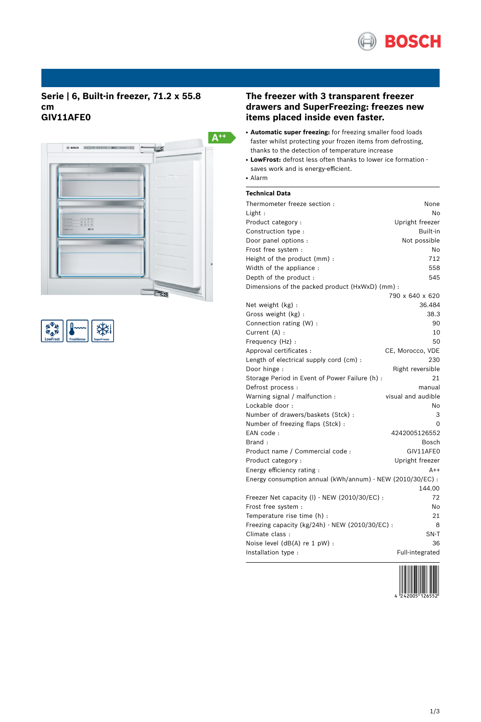

# **Serie | 6, Built-in freezer, 71.2 x 55.8 cm GIV11AFE0**



| LowFrost | <b>FreshSense</b> | perFreeze |
|----------|-------------------|-----------|

# **The freezer with 3 transparent freezer drawers and SuperFreezing: freezes new items placed inside even faster.**

- **Automatic super freezing:** for freezing smaller food loads faster whilst protecting your frozen items from defrosting, thanks to the detection of temperature increase
- **LowFrost:** defrost less often thanks to lower ice formation saves work and is energy-efficient. ● Alarm

# **Technical Data**

| Thermometer freeze section:                                | None               |
|------------------------------------------------------------|--------------------|
| Light:                                                     | No                 |
| Product category :                                         | Upright freezer    |
| Construction type :                                        | Built-in           |
| Door panel options :                                       | Not possible       |
| Frost free system :                                        | No                 |
| Height of the product (mm) :                               | 712                |
| Width of the appliance :                                   | 558                |
| Depth of the product:                                      | 545                |
| Dimensions of the packed product (HxWxD) (mm) :            |                    |
|                                                            | 790 x 640 x 620    |
| Net weight (kg) :                                          | 36.484             |
| Gross weight (kg) :                                        | 38.3               |
| Connection rating (W) :                                    | 90                 |
| Current (A) :                                              | 10                 |
| Frequency (Hz) :                                           | 50                 |
| Approval certificates :                                    | CE, Morocco, VDE   |
| Length of electrical supply cord (cm) :                    | 230                |
| Door hinge :                                               | Right reversible   |
| Storage Period in Event of Power Failure (h) :             | 21                 |
| Defrost process :                                          | manual             |
| Warning signal / malfunction :                             | visual and audible |
| Lockable door:                                             | No                 |
| Number of drawers/baskets (Stck) :                         | 3                  |
| Number of freezing flaps (Stck) :                          | $\Omega$           |
| EAN code:                                                  | 4242005126552      |
| Brand:                                                     | Bosch              |
| Product name / Commercial code :                           | GIV11AFE0          |
| Product category :                                         | Upright freezer    |
| Energy efficiency rating:                                  | $A++$              |
| Energy consumption annual (kWh/annum) - NEW (2010/30/EC) : |                    |
|                                                            | 144.00             |
| Freezer Net capacity (I) - NEW (2010/30/EC) :              | 72                 |
| Frost free system :                                        | No                 |
| Temperature rise time (h) :                                | 21                 |
| Freezing capacity (kg/24h) - NEW (2010/30/EC) :            | 8                  |
| Climate class :                                            | SN-T               |
| Noise level (dB(A) re 1 pW) :                              | 36                 |
| Installation type :                                        | Full-integrated    |

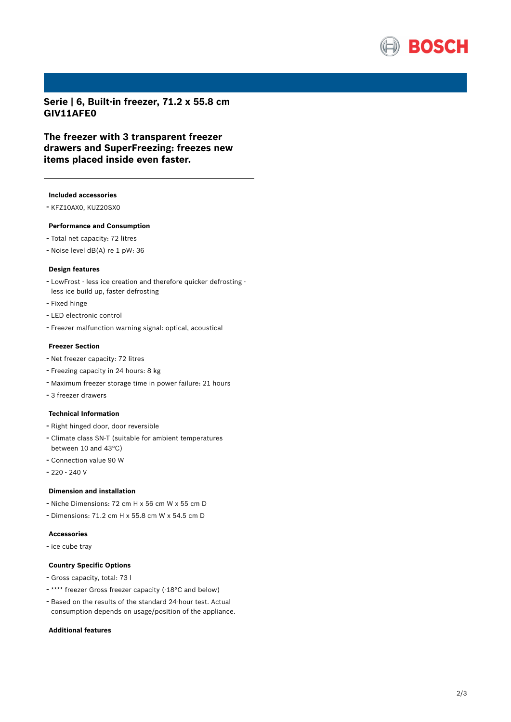

**Serie | 6, Built-in freezer, 71.2 x 55.8 cm GIV11AFE0**

**The freezer with 3 transparent freezer drawers and SuperFreezing: freezes new items placed inside even faster.**

## **Included accessories**

- KFZ10AX0, KUZ20SX0

#### **Performance and Consumption**

- Total net capacity: <sup>72</sup> litres
- Noise level dB(A) re <sup>1</sup> pW: <sup>36</sup>

#### **Design features**

- LowFrost less ice creation and therefore quicker defrosting less ice build up, faster defrosting
- Fixed hinge
- LED electronic control
- Freezer malfunction warning signal: optical, acoustical

## **Freezer Section**

- Net freezer capacity: <sup>72</sup> litres
- Freezing capacity in <sup>24</sup> hours: <sup>8</sup> kg
- Maximum freezer storage time in power failure: <sup>21</sup> hours
- <sup>3</sup> freezer drawers

#### **Technical Information**

- Right hinged door, door reversible
- Climate class SN-T (suitable for ambient temperatures between 10 and 43°C)
- Connection value <sup>90</sup> <sup>W</sup>
- 220 240 V

#### **Dimension and installation**

- Niche Dimensions: <sup>72</sup> cm <sup>H</sup> <sup>x</sup> <sup>56</sup> cm <sup>W</sup> <sup>x</sup> <sup>55</sup> cm <sup>D</sup>
- Dimensions: 71.2 cm H x 55.8 cm W x 54.5 cm D

## **Accessories**

- ice cube tray

#### **Country Specific Options**

- Gross capacity, total: <sup>73</sup> <sup>l</sup>
- \*\*\*\* freezer Gross freezer capacity (-18°C and below)
- Based on the results of the standard 24-hour test. Actual consumption depends on usage/position of the appliance.

#### **Additional features**